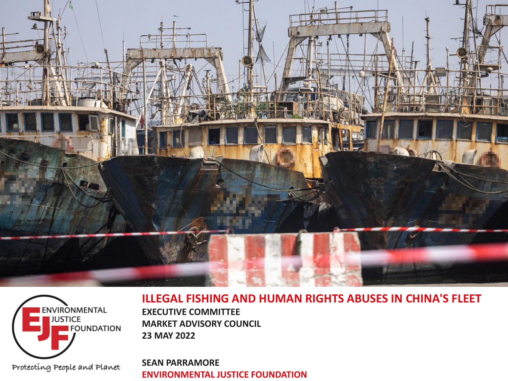



#### **ILLEGAL FISHING AND HUMAN RIGHTS ABUSES IN CHINA'S FLEET**

**EXECUTIVE COMMITTEE MARKET ADVISORY COUNCIL 23 MAY 2022**

**SEAN PARRAMORE ENVIRONMENTAL JUSTICE FOUNDATION**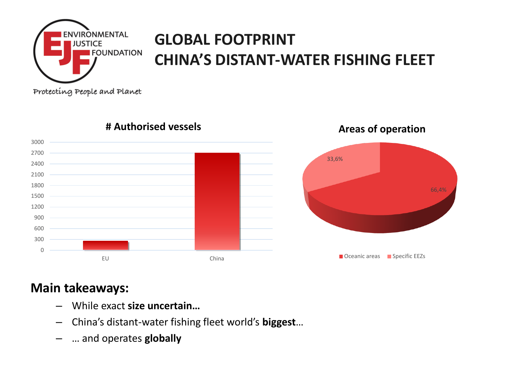

## **GLOBAL FOOTPRINT CHINA'S DISTANT-WATER FISHING FLEET**

Protecting People and Planet



### **# Authorised vessels**

**Areas of operation**

### **Main takeaways:**

- While exact **size uncertain…**
- China's distant-water fishing fleet world's **biggest**…
- … and operates **globally**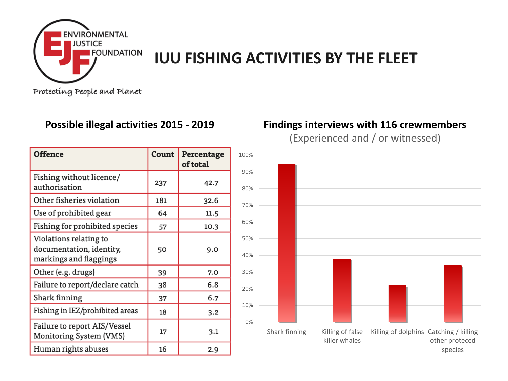

### **IUU FISHING ACTIVITIES BY THE FLEET**

Protecting People and Planet

| <b>Offence</b>                                                               | Count | Percentage<br>of total |
|------------------------------------------------------------------------------|-------|------------------------|
| Fishing without licence/<br>authorisation                                    | 237   | 42.7                   |
| Other fisheries violation                                                    | 181   | 32.6                   |
| Use of prohibited gear                                                       | 64    | 11.5                   |
| Fishing for prohibited species                                               | 57    | 10.3                   |
| Violations relating to<br>documentation, identity,<br>markings and flaggings | 50    | 9.0                    |
| Other (e.g. drugs)                                                           | 39    | 7.0                    |
| Failure to report/declare catch                                              | 38    | 6.8                    |
| Shark finning                                                                | 37    | 6.7                    |
| Fishing in IEZ/prohibited areas                                              | 18    | 3.2                    |
| Failure to report AIS/Vessel<br>Monitoring System (VMS)                      | 17    | 3.1                    |
| Human rights abuses                                                          | 16    | 2.9                    |

#### **Possible illegal activities 2015 - 2019 Findings interviews with 116 crewmembers**

(Experienced and / or witnessed)

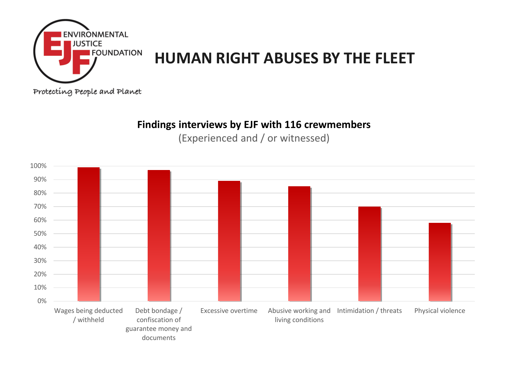

### **HUMAN RIGHT ABUSES BY THE FLEET**

Protecting People and Planet

#### **Findings interviews by EJF with 116 crewmembers**

(Experienced and / or witnessed)

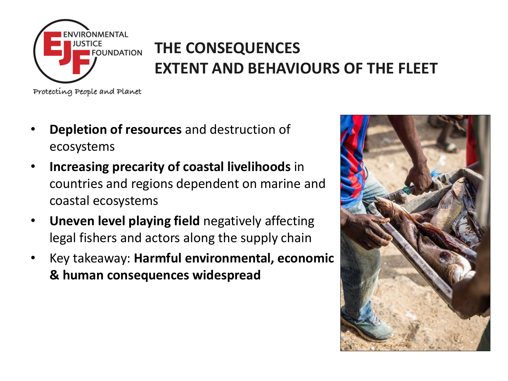

# **THE CONSEQUENCES EXTENT AND BEHAVIOURS OF THE FLEET**

Protecting People and Planet

- **Depletion of resources** and destruction of ecosystems
- **Increasing precarity of coastal livelihoods** in countries and regions dependent on marine and coastal ecosystems
- **Uneven level playing field** negatively affecting legal fishers and actors along the supply chain
- Key takeaway: **Harmful environmental, economic & human consequences widespread**

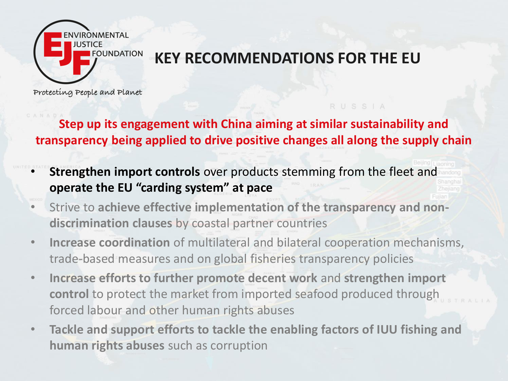

### **KEY RECOMMENDATIONS FOR THE EU**

RUSSIA

Protecting People and Planet

**Step up its engagement with China aiming at similar sustainability and transparency being applied to drive positive changes all along the supply chain**

- **Strengthen import controls** over products stemming from the fleet and **operate the EU "carding system" at pace**
- Strive to **achieve effective implementation of the transparency and nondiscrimination clauses** by coastal partner countries
- **Increase coordination** of multilateral and bilateral cooperation mechanisms, trade-based measures and on global fisheries transparency policies
- **Increase efforts to further promote decent work** and **strengthen import control** to protect the market from imported seafood produced through forced labour and other human rights abuses
- **Tackle and support efforts to tackle the enabling factors of IUU fishing and human rights abuses** such as corruption